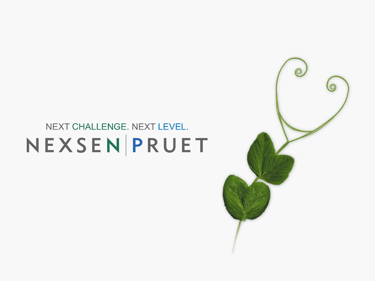#### NEXT CHALLENGE. NEXT LEVEL. NEXSENPRUET

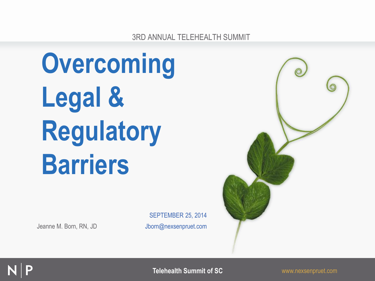3RD ANNUAL TELEHEALTH SUMMIT

# **Overcoming Legal & Regulatory Barriers**

Jeanne M. Born, RN, JD Jborn@nexsenpruet.com

SEPTEMBER 25, 2014





**Telehealth Summit of SC** www.nexsenpruet.com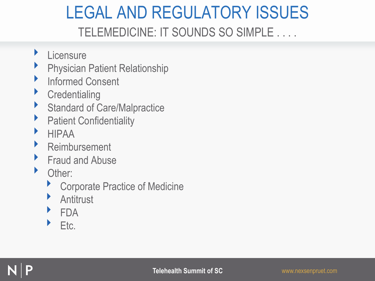#### LEGAL AND REGULATORY ISSUES TELEMEDICINE: IT SOUNDS SO SIMPLE . . . .

- **Licensure**
- **Physician Patient Relationship**
- **Informed Consent**
- **Credentialing**
- **Standard of Care/Malpractice**
- **Patient Confidentiality**
- ‣ HIPAA
- **Reimbursement**
- **Fraud and Abuse**
- Other:
	- ▶ Corporate Practice of Medicine
	- **Antitrust**
	- ‣ FDA
	- ‣ Etc.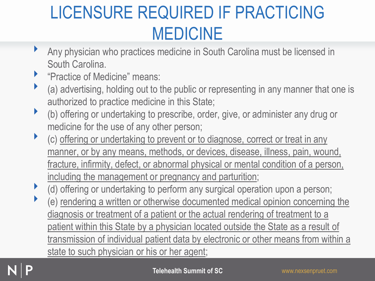# LICENSURE REQUIRED IF PRACTICING MEDICINE

- ‣ Any physician who practices medicine in South Carolina must be licensed in South Carolina.
- **EXECUTE:** "Practice of Medicine" means:
- ‣ (a) advertising, holding out to the public or representing in any manner that one is authorized to practice medicine in this State;
- ‣ (b) offering or undertaking to prescribe, order, give, or administer any drug or medicine for the use of any other person;
- (c) offering or undertaking to prevent or to diagnose, correct or treat in any manner, or by any means, methods, or devices, disease, illness, pain, wound, fracture, infirmity, defect, or abnormal physical or mental condition of a person, including the management or pregnancy and parturition;
- (d) offering or undertaking to perform any surgical operation upon a person;
- (e) rendering a written or otherwise documented medical opinion concerning the diagnosis or treatment of a patient or the actual rendering of treatment to a patient within this State by a physician located outside the State as a result of transmission of individual patient data by electronic or other means from within a state to such physician or his or her agent;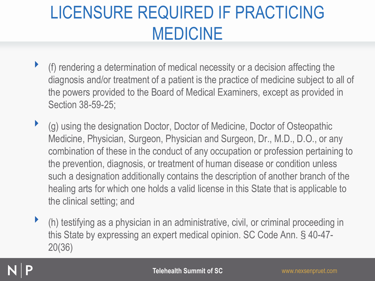# LICENSURE REQUIRED IF PRACTICING MEDICINE

- ‣ (f) rendering a determination of medical necessity or a decision affecting the diagnosis and/or treatment of a patient is the practice of medicine subject to all of the powers provided to the Board of Medical Examiners, except as provided in Section 38-59-25;
- ‣ (g) using the designation Doctor, Doctor of Medicine, Doctor of Osteopathic Medicine, Physician, Surgeon, Physician and Surgeon, Dr., M.D., D.O., or any combination of these in the conduct of any occupation or profession pertaining to the prevention, diagnosis, or treatment of human disease or condition unless such a designation additionally contains the description of another branch of the healing arts for which one holds a valid license in this State that is applicable to the clinical setting; and
- $\blacktriangleright$  (h) testifying as a physician in an administrative, civil, or criminal proceeding in this State by expressing an expert medical opinion. SC Code Ann. § 40-47- 20(36)

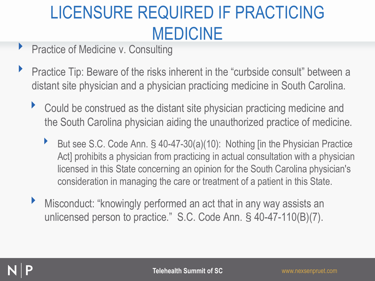# LICENSURE REQUIRED IF PRACTICING MEDICINE

- Practice of Medicine v. Consulting
- **Practice Tip: Beware of the risks inherent in the "curbside consult" between a** distant site physician and a physician practicing medicine in South Carolina.
	- ▶ Could be construed as the distant site physician practicing medicine and the South Carolina physician aiding the unauthorized practice of medicine.
		- ▶ But see S.C. Code Ann. § 40-47-30(a)(10): Nothing [in the Physician Practice Act] prohibits a physician from practicing in actual consultation with a physician licensed in this State concerning an opinion for the South Carolina physician's consideration in managing the care or treatment of a patient in this State.
	- Misconduct: "knowingly performed an act that in any way assists an unlicensed person to practice." S.C. Code Ann. § 40-47-110(B)(7).

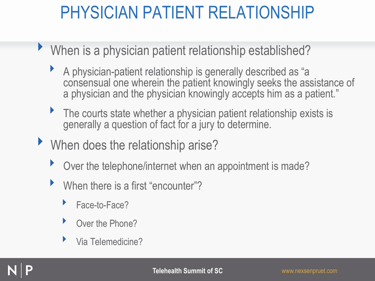- ▶ When is a physician patient relationship established?
	- ‣ A physician-patient relationship is generally described as "a consensual one wherein the patient knowingly seeks the assistance of a physician and the physician knowingly accepts him as a patient."
	- The courts state whether a physician patient relationship exists is generally a question of fact for a jury to determine.
- ‣ When does the relationship arise?
	- Over the telephone/internet when an appointment is made?
	- When there is a first "encounter"?
		- Face-to-Face?
		- Over the Phone?
		- ‣ Via Telemedicine?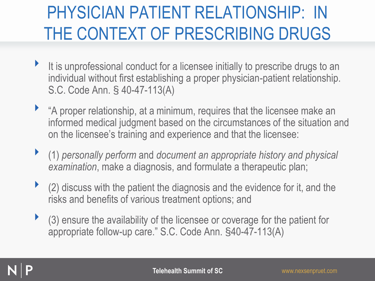# PHYSICIAN PATIENT RELATIONSHIP: IN THE CONTEXT OF PRESCRIBING DRUGS

- It is unprofessional conduct for a licensee initially to prescribe drugs to an individual without first establishing a proper physician-patient relationship. S.C. Code Ann. § 40-47-113(A)
- ‣ "A proper relationship, at a minimum, requires that the licensee make an informed medical judgment based on the circumstances of the situation and on the licensee's training and experience and that the licensee:
- ‣ (1) *personally perform* and *document an appropriate history and physical examination*, make a diagnosis, and formulate a therapeutic plan;
- ‣ (2) discuss with the patient the diagnosis and the evidence for it, and the risks and benefits of various treatment options; and
- ‣ (3) ensure the availability of the licensee or coverage for the patient for appropriate follow-up care." S.C. Code Ann. §40-47-113(A)

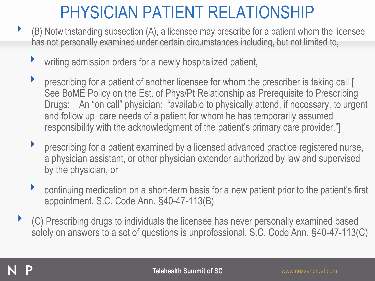- $\blacktriangleright$  (B) Notwithstanding subsection (A), a licensee may prescribe for a patient whom the licensee has not personally examined under certain circumstances including, but not limited to,
	- ‣ writing admission orders for a newly hospitalized patient,
	- ‣ prescribing for a patient of another licensee for whom the prescriber is taking call [ See BoME Policy on the Est. of Phys/Pt Relationship as Prerequisite to Prescribing Drugs: An "on call" physician: "available to physically attend, if necessary, to urgent and follow up care needs of a patient for whom he has temporarily assumed responsibility with the acknowledgment of the patient's primary care provider."]
	- prescribing for a patient examined by a licensed advanced practice registered nurse, a physician assistant, or other physician extender authorized by law and supervised by the physician, or
	- continuing medication on a short-term basis for a new patient prior to the patient's first appointment. S.C. Code Ann. §40-47-113(B)
- ‣ (C) Prescribing drugs to individuals the licensee has never personally examined based solely on answers to a set of questions is unprofessional. S.C. Code Ann. §40-47-113(C)

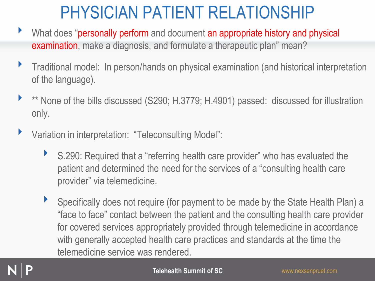- ▶ What does "personally perform and document an appropriate history and physical examination, make a diagnosis, and formulate a therapeutic plan" mean?
- ‣ Traditional model: In person/hands on physical examination (and historical interpretation of the language).
- \*\* None of the bills discussed (S290; H.3779; H.4901) passed: discussed for illustration only.
- ‣ Variation in interpretation: "Teleconsulting Model":
	- ▶ S.290: Required that a "referring health care provider" who has evaluated the patient and determined the need for the services of a "consulting health care provider" via telemedicine.
	- ‣ Specifically does not require (for payment to be made by the State Health Plan) a "face to face" contact between the patient and the consulting health care provider for covered services appropriately provided through telemedicine in accordance with generally accepted health care practices and standards at the time the telemedicine service was rendered.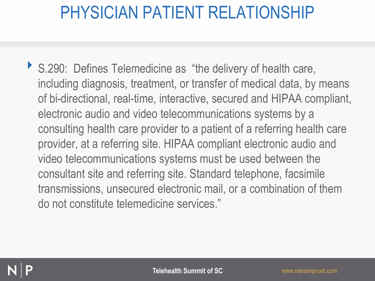▶ S.290: Defines Telemedicine as "the delivery of health care, including diagnosis, treatment, or transfer of medical data, by means of bi-directional, real-time, interactive, secured and HIPAA compliant, electronic audio and video telecommunications systems by a consulting health care provider to a patient of a referring health care provider, at a referring site. HIPAA compliant electronic audio and video telecommunications systems must be used between the consultant site and referring site. Standard telephone, facsimile transmissions, unsecured electronic mail, or a combination of them do not constitute telemedicine services."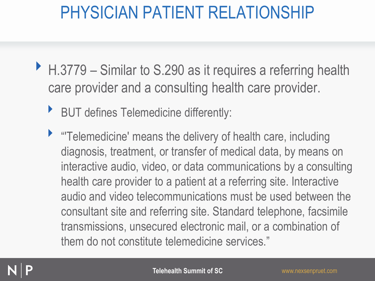- ▶ H.3779 Similar to S.290 as it requires a referring health care provider and a consulting health care provider.
	- ‣ BUT defines Telemedicine differently:
	- ‣ "'Telemedicine' means the delivery of health care, including diagnosis, treatment, or transfer of medical data, by means on interactive audio, video, or data communications by a consulting health care provider to a patient at a referring site. Interactive audio and video telecommunications must be used between the consultant site and referring site. Standard telephone, facsimile transmissions, unsecured electronic mail, or a combination of them do not constitute telemedicine services."

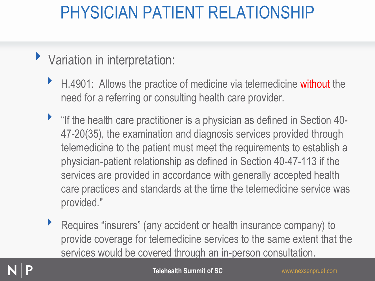- Variation in interpretation:
	- ▶ H.4901: Allows the practice of medicine via telemedicine without the need for a referring or consulting health care provider.
	- "If the health care practitioner is a physician as defined in Section 40-47-20(35), the examination and diagnosis services provided through telemedicine to the patient must meet the requirements to establish a physician-patient relationship as defined in Section 40-47-113 if the services are provided in accordance with generally accepted health care practices and standards at the time the telemedicine service was provided."
	- ‣ Requires "insurers" (any accident or health insurance company) to provide coverage for telemedicine services to the same extent that the services would be covered through an in-person consultation.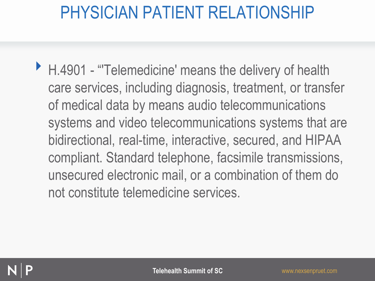▶ H.4901 - "Telemedicine' means the delivery of health care services, including diagnosis, treatment, or transfer of medical data by means audio telecommunications systems and video telecommunications systems that are bidirectional, real-time, interactive, secured, and HIPAA compliant. Standard telephone, facsimile transmissions, unsecured electronic mail, or a combination of them do not constitute telemedicine services.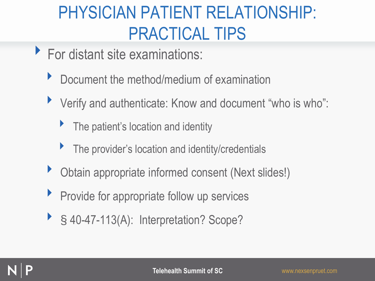# PHYSICIAN PATIENT RELATIONSHIP: PRACTICAL TIPS

- ‣ For distant site examinations:
	- ▶ Document the method/medium of examination
	- ‣ Verify and authenticate: Know and document "who is who":
		- The patient's location and identity
		- ‣ The provider's location and identity/credentials
	- ‣ Obtain appropriate informed consent (Next slides!)
	- **Perovide for appropriate follow up services**
	- ▶ § 40-47-113(A): Interpretation? Scope?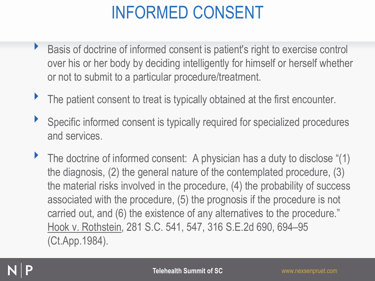# INFORMED CONSENT

- ‣ Basis of doctrine of informed consent is patient's right to exercise control over his or her body by deciding intelligently for himself or herself whether or not to submit to a particular procedure/treatment.
- The patient consent to treat is typically obtained at the first encounter.
- Specific informed consent is typically required for specialized procedures and services.
- The doctrine of informed consent: A physician has a duty to disclose "(1) the diagnosis, (2) the general nature of the contemplated procedure, (3) the material risks involved in the procedure, (4) the probability of success associated with the procedure, (5) the prognosis if the procedure is not carried out, and (6) the existence of any alternatives to the procedure." Hook v. Rothstein, 281 S.C. 541, 547, 316 S.E.2d 690, 694–95 (Ct.App.1984).

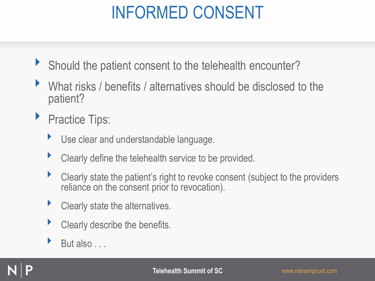# INFORMED CONSENT

- ▶ Should the patient consent to the telehealth encounter?
- What risks / benefits / alternatives should be disclosed to the patient?
- **Practice Tips:** 
	- ‣ Use clear and understandable language.
	- ‣ Clearly define the telehealth service to be provided.
	- ‣ Clearly state the patient's right to revoke consent (subject to the providers reliance on the consent prior to revocation).
	- **Clearly state the alternatives.**
	- Clearly describe the benefits.
	- But also . . .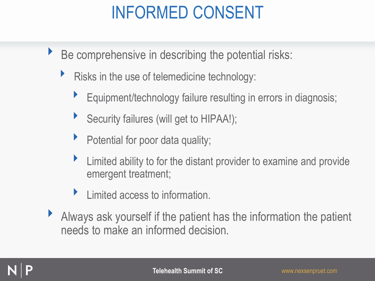# INFORMED CONSENT

- $\triangleright$  Be comprehensive in describing the potential risks:
	- $\blacktriangleright$  Risks in the use of telemedicine technology:
		- ‣ Equipment/technology failure resulting in errors in diagnosis;
		- Security failures (will get to HIPAA!);
		- ‣ Potential for poor data quality;
		- ‣ Limited ability to for the distant provider to examine and provide emergent treatment;
		- ‣ Limited access to information.
- $\blacktriangleright$  Always ask yourself if the patient has the information the patient needs to make an informed decision.

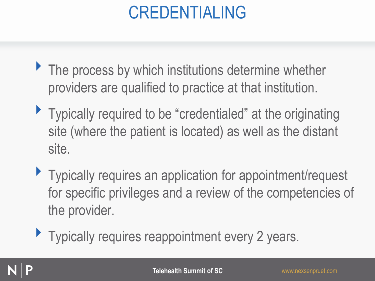# CREDENTIALING

- ▶ The process by which institutions determine whether providers are qualified to practice at that institution.
- Typically required to be "credentialed" at the originating site (where the patient is located) as well as the distant site.
- ▶ Typically requires an application for appointment/request for specific privileges and a review of the competencies of the provider.
- **Typically requires reappointment every 2 years.**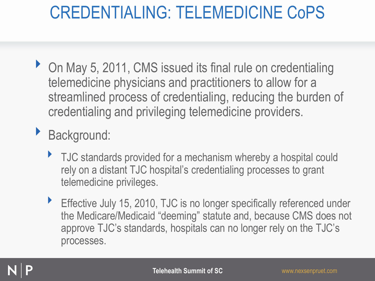- On May 5, 2011, CMS issued its final rule on credentialing telemedicine physicians and practitioners to allow for a streamlined process of credentialing, reducing the burden of credentialing and privileging telemedicine providers.
- ‣ Background:
	- ▶ TJC standards provided for a mechanism whereby a hospital could rely on a distant TJC hospital's credentialing processes to grant telemedicine privileges.
	- Effective July 15, 2010, TJC is no longer specifically referenced under the Medicare/Medicaid "deeming" statute and, because CMS does not approve TJC's standards, hospitals can no longer rely on the TJC's processes.

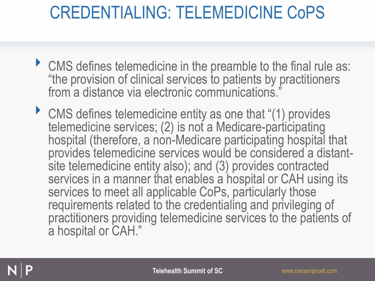- ‣ CMS defines telemedicine in the preamble to the final rule as: "the provision of clinical services to patients by practitioners from a distance via electronic communications."
- ▶ CMS defines telemedicine entity as one that "(1) provides telemedicine services; (2) is not a Medicare-participating hospital (therefore, a non-Medicare participating hospital that provides telemedicine services would be considered a distantsite telemedicine entity also); and (3) provides contracted services in a manner that enables a hospital or CAH using its services to meet all applicable CoPs, particularly those requirements related to the credentialing and privileging of practitioners providing telemedicine services to the patients of a hospital or CAH."

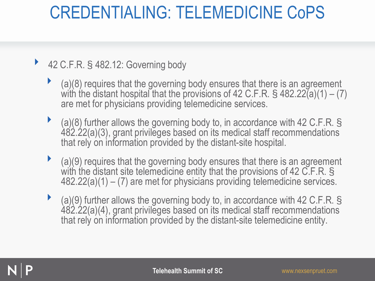#### ▶ 42 C.F.R. § 482.12: Governing body

- ‣ (a)(8) requires that the governing body ensures that there is an agreement with the distant hospital that the provisions of 42 C.F.R. § 482.22(a)(1) – (7) are met for physicians providing telemedicine services.
- ‣ (a)(8) further allows the governing body to, in accordance with 42 C.F.R. § 482.22(a)(3), grant privileges based on its medical staff recommendations that rely on information provided by the distant-site hospital.
- ‣ (a)(9) requires that the governing body ensures that there is an agreement with the distant site telemedicine entity that the provisions of 42 C.F.R. § 482.22(a)(1) – (7) are met for physicians providing telemedicine services.
- ‣ (a)(9) further allows the governing body to, in accordance with 42 C.F.R. § 482.22(a)(4), grant privileges based on its medical staff recommendations that rely on information provided by the distant-site telemedicine entity.

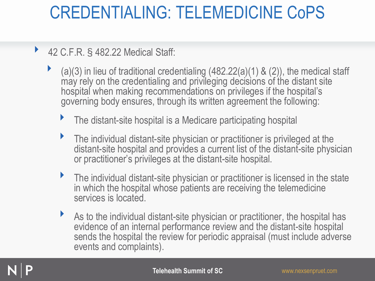#### ‣ 42 C.F.R. § 482.22 Medical Staff:

- ‣ (a)(3) in lieu of traditional credentialing (482.22(a)(1) & (2)), the medical staff may rely on the credentialing and privileging decisions of the distant site hospital when making recommendations on privileges if the hospital's governing body ensures, through its written agreement the following:
	- The distant-site hospital is a Medicare participating hospital
	- ‣ The individual distant-site physician or practitioner is privileged at the distant-site hospital and provides a current list of the distant-site physician or practitioner's privileges at the distant-site hospital.
	- ‣ The individual distant-site physician or practitioner is licensed in the state in which the hospital whose patients are receiving the telemedicine services is located.
	- As to the individual distant-site physician or practitioner, the hospital has evidence of an internal performance review and the distant-site hospital sends the hospital the review for periodic appraisal (must include adverse events and complaints).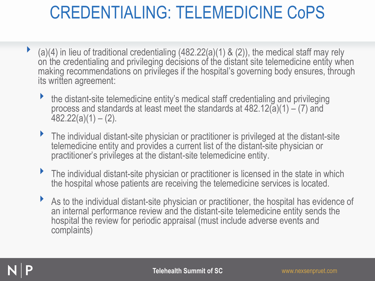- $\blacktriangleright$  (a)(4) in lieu of traditional credentialing (482.22(a)(1) & (2)), the medical staff may rely on the credentialing and privileging decisions of the distant site telemedicine entity when making recommendations on privileges if the hospital's governing body ensures, through its written agreement:
	- ‣ the distant-site telemedicine entity's medical staff credentialing and privileging process and standards at least meet the standards at  $482.12(a)(1) - (7)$  and  $482.22(a)(1) - (2)$ .
	- ‣ The individual distant-site physician or practitioner is privileged at the distant-site telemedicine entity and provides a current list of the distant-site physician or practitioner's privileges at the distant-site telemedicine entity.
	- ‣ The individual distant-site physician or practitioner is licensed in the state in which the hospital whose patients are receiving the telemedicine services is located.
	- ‣ As to the individual distant-site physician or practitioner, the hospital has evidence of an internal performance review and the distant-site telemedicine entity sends the hospital the review for periodic appraisal (must include adverse events and complaints)

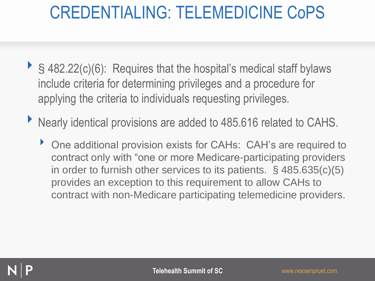- ▶ § 482.22(c)(6): Requires that the hospital's medical staff bylaws include criteria for determining privileges and a procedure for applying the criteria to individuals requesting privileges.
- ‣ Nearly identical provisions are added to 485.616 related to CAHS.
	- ‣ One additional provision exists for CAHs: CAH's are required to contract only with "one or more Medicare-participating providers in order to furnish other services to its patients. § 485.635(c)(5) provides an exception to this requirement to allow CAHs to contract with non-Medicare participating telemedicine providers.

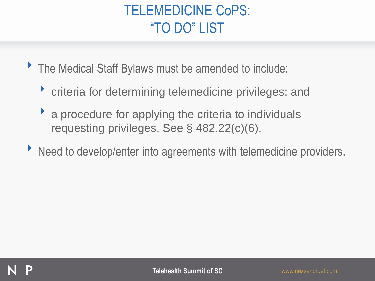#### TELEMEDICINE CoPS: "TO DO" LIST

- ▶ The Medical Staff Bylaws must be amended to include:
	- ‣ criteria for determining telemedicine privileges; and
	- $\blacktriangleright$  a procedure for applying the criteria to individuals requesting privileges. See § 482.22(c)(6).
- ▶ Need to develop/enter into agreements with telemedicine providers.

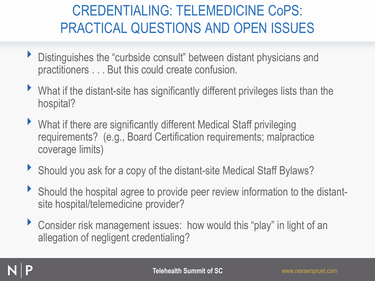#### CREDENTIALING: TELEMEDICINE CoPS: PRACTICAL QUESTIONS AND OPEN ISSUES

- ‣ Distinguishes the "curbside consult" between distant physicians and practitioners . . . But this could create confusion.
- What if the distant-site has significantly different privileges lists than the hospital?
- ‣ What if there are significantly different Medical Staff privileging requirements? (e.g., Board Certification requirements; malpractice coverage limits)
- ▶ Should you ask for a copy of the distant-site Medical Staff Bylaws?
- ‣ Should the hospital agree to provide peer review information to the distantsite hospital/telemedicine provider?
- ▶ Consider risk management issues: how would this "play" in light of an allegation of negligent credentialing?

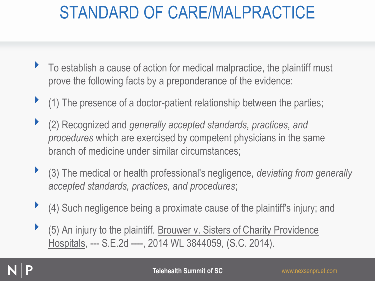- ‣ To establish a cause of action for medical malpractice, the plaintiff must prove the following facts by a preponderance of the evidence:
- ‣ (1) The presence of a doctor-patient relationship between the parties;
- ‣ (2) Recognized and *generally accepted standards, practices, and procedures* which are exercised by competent physicians in the same branch of medicine under similar circumstances;
- ‣ (3) The medical or health professional's negligence, *deviating from generally accepted standards, practices, and procedures*;
- ‣ (4) Such negligence being a proximate cause of the plaintiff's injury; and
- ‣ (5) An injury to the plaintiff. Brouwer v. Sisters of Charity Providence Hospitals, --- S.E.2d ----, 2014 WL 3844059, (S.C. 2014).

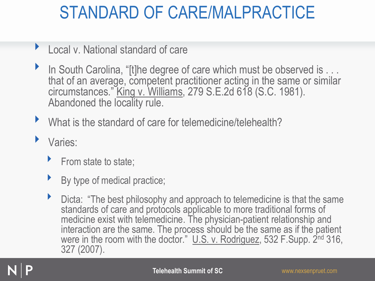- Local v. National standard of care
- In South Carolina, "[t]he degree of care which must be observed is . . . that of an average, competent practitioner acting in the same or similar circumstances." King v. Williams, 279 S.E.2d 618 (S.C. 1981). Abandoned the locality rule.
- What is the standard of care for telemedicine/telehealth?
- Varies:
	- $\blacktriangleright$  From state to state;
	- By type of medical practice;
	- ▶ Dicta: "The best philosophy and approach to telemedicine is that the same standards of care and protocols applicable to more traditional forms of medicine exist with telemedicine. The physician-patient relationship and interaction are the same. The process should be the same as if the patient were in the room with the doctor." U.S. v. Rodriguez, 532 F.Supp. 2<sup>nd</sup> 316, 327 (2007).

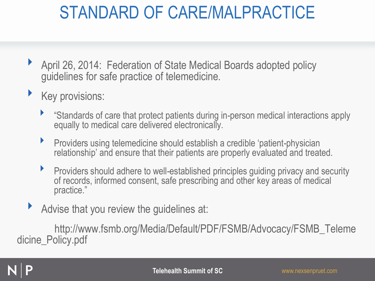- ▶ April 26, 2014: Federation of State Medical Boards adopted policy guidelines for safe practice of telemedicine.
- Key provisions:
	- ‣ "Standards of care that protect patients during in-person medical interactions apply equally to medical care delivered electronically.
	- **•** Providers using telemedicine should establish a credible 'patient-physician relationship' and ensure that their patients are properly evaluated and treated.
	- ‣ Providers should adhere to well-established principles guiding privacy and security of records, informed consent, safe prescribing and other key areas of medical practice."
- Advise that you review the guidelines at:

http://www.fsmb.org/Media/Default/PDF/FSMB/Advocacy/FSMB\_Teleme dicine\_Policy.pdf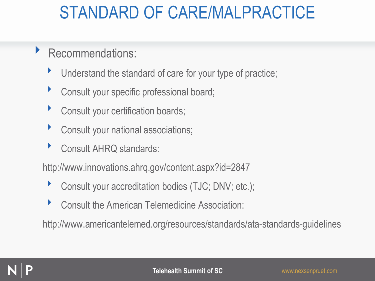- ‣ Recommendations:
	- Understand the standard of care for your type of practice;
	- **Consult your specific professional board;**
	- **Consult your certification boards;**
	- **Consult your national associations;**
	- ‣ Consult AHRQ standards:

http://www.innovations.ahrq.gov/content.aspx?id=2847

- ▶ Consult your accreditation bodies (TJC; DNV; etc.);
- ‣ Consult the American Telemedicine Association:

http://www.americantelemed.org/resources/standards/ata-standards-guidelines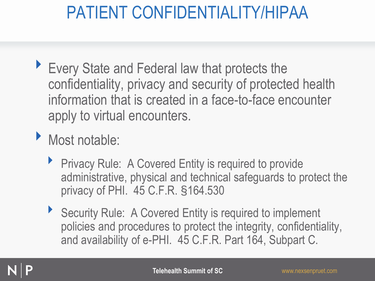# PATIENT CONFIDENTIALITY/HIPAA

- ▶ Every State and Federal law that protects the confidentiality, privacy and security of protected health information that is created in a face-to-face encounter apply to virtual encounters.
- ‣ Most notable:
	- ▶ Privacy Rule: A Covered Entity is required to provide administrative, physical and technical safeguards to protect the privacy of PHI. 45 C.F.R. §164.530
	- ▶ Security Rule: A Covered Entity is required to implement policies and procedures to protect the integrity, confidentiality, and availability of e-PHI. 45 C.F.R. Part 164, Subpart C.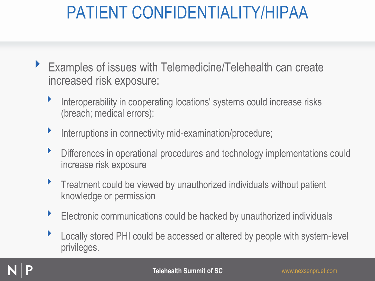# PATIENT CONFIDENTIALITY/HIPAA

- ‣ Examples of issues with Telemedicine/Telehealth can create increased risk exposure:
	- Interoperability in cooperating locations' systems could increase risks (breach; medical errors);
	- **Interruptions in connectivity mid-examination/procedure;**
	- ‣ Differences in operational procedures and technology implementations could increase risk exposure
	- **Treatment could be viewed by unauthorized individuals without patient** knowledge or permission
	- Electronic communications could be hacked by unauthorized individuals
	- ▶ Locally stored PHI could be accessed or altered by people with system-level privileges.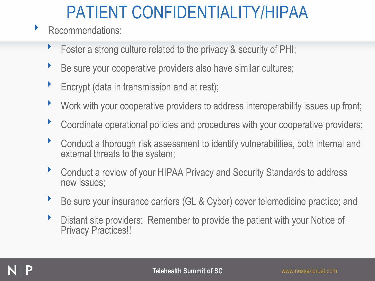# PATIENT CONFIDENTIALITY/HIPAA

- ▶ Recommendations:
	- Foster a strong culture related to the privacy & security of PHI;
	- Be sure your cooperative providers also have similar cultures;
	- $\blacktriangleright$  Encrypt (data in transmission and at rest);
	- Work with your cooperative providers to address interoperability issues up front;
	- ‣ Coordinate operational policies and procedures with your cooperative providers;
	- ‣ Conduct a thorough risk assessment to identify vulnerabilities, both internal and external threats to the system;
	- ▶ Conduct a review of your HIPAA Privacy and Security Standards to address new issues;
	- Be sure your insurance carriers (GL & Cyber) cover telemedicine practice; and
	- ‣ Distant site providers: Remember to provide the patient with your Notice of Privacy Practices!!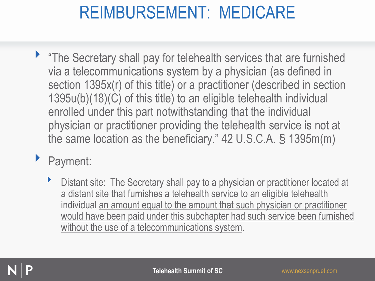- "The Secretary shall pay for telehealth services that are furnished via a telecommunications system by a physician (as defined in section 1395x(r) of this title) or a practitioner (described in section 1395u(b)(18)(C) of this title) to an eligible telehealth individual enrolled under this part notwithstanding that the individual physician or practitioner providing the telehealth service is not at the same location as the beneficiary." 42 U.S.C.A. § 1395m(m)
- ‣ Payment:
	- **EXECT** Distant site: The Secretary shall pay to a physician or practitioner located at a distant site that furnishes a telehealth service to an eligible telehealth individual an amount equal to the amount that such physician or practitioner would have been paid under this subchapter had such service been furnished without the use of a telecommunications system.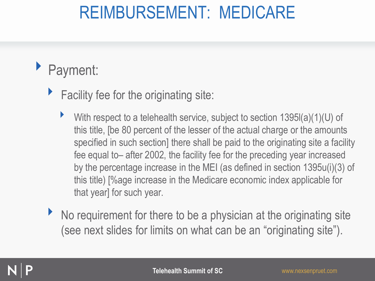#### ‣ Payment:

- $\blacktriangleright$  Facility fee for the originating site:
	- With respect to a telehealth service, subject to section  $1395I(a)(1)(U)$  of this title, [be 80 percent of the lesser of the actual charge or the amounts specified in such section] there shall be paid to the originating site a facility fee equal to– after 2002, the facility fee for the preceding year increased by the percentage increase in the MEI (as defined in section 1395u(i)(3) of this title) [%age increase in the Medicare economic index applicable for that year] for such year.
- ▶ No requirement for there to be a physician at the originating site (see next slides for limits on what can be an "originating site").

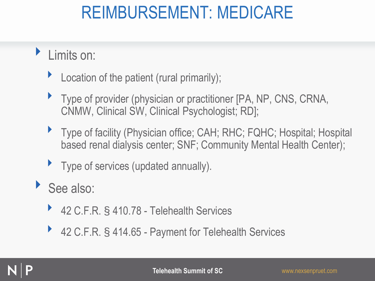- ‣ Limits on:
	- $\blacktriangleright$  Location of the patient (rural primarily);
	- ‣ Type of provider (physician or practitioner [PA, NP, CNS, CRNA, CNMW, Clinical SW, Clinical Psychologist; RD];
	- ▶ Type of facility (Physician office; CAH; RHC; FQHC; Hospital; Hospital based renal dialysis center; SNF; Community Mental Health Center);
	- ‣ Type of services (updated annually).
- ▶ See also:
	- ‣ 42 C.F.R. § 410.78 Telehealth Services
	- ‣ 42 C.F.R. § 414.65 Payment for Telehealth Services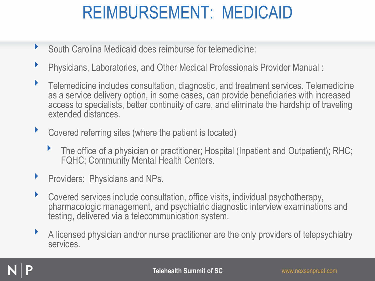- ‣ South Carolina Medicaid does reimburse for telemedicine:
- ‣ Physicians, Laboratories, and Other Medical Professionals Provider Manual :
- ‣ Telemedicine includes consultation, diagnostic, and treatment services. Telemedicine as a service delivery option, in some cases, can provide beneficiaries with increased access to specialists, better continuity of care, and eliminate the hardship of traveling extended distances.
- ‣ Covered referring sites (where the patient is located)
	- $\blacktriangleright$  The office of a physician or practitioner; Hospital (Inpatient and Outpatient); RHC; FQHC; Community Mental Health Centers.
- ‣ Providers: Physicians and NPs.
- ‣ Covered services include consultation, office visits, individual psychotherapy, pharmacologic management, and psychiatric diagnostic interview examinations and testing, delivered via a telecommunication system.
- ‣ A licensed physician and/or nurse practitioner are the only providers of telepsychiatry services.

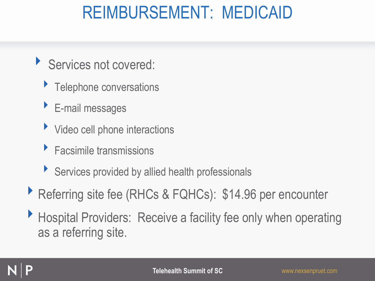- ‣ Services not covered:
	- **Telephone conversations**
	- ‣ E-mail messages
	- In Video cell phone interactions
	- ‣ Facsimile transmissions
	- ‣ Services provided by allied health professionals
- ▶ Referring site fee (RHCs & FQHCs): \$14.96 per encounter
- ‣ Hospital Providers: Receive a facility fee only when operating as a referring site.

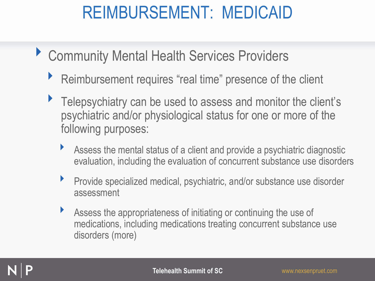- ▶ Community Mental Health Services Providers
	- ▶ Reimbursement requires "real time" presence of the client
	- ▶ Telepsychiatry can be used to assess and monitor the client's psychiatric and/or physiological status for one or more of the following purposes:
		- Assess the mental status of a client and provide a psychiatric diagnostic evaluation, including the evaluation of concurrent substance use disorders
		- ‣ Provide specialized medical, psychiatric, and/or substance use disorder assessment
		- ‣ Assess the appropriateness of initiating or continuing the use of medications, including medications treating concurrent substance use disorders (more)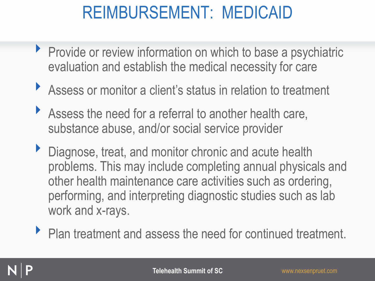- **Provide or review information on which to base a psychiatric** evaluation and establish the medical necessity for care
- ‣ Assess or monitor a client's status in relation to treatment
- Assess the need for a referral to another health care, substance abuse, and/or social service provider
- ▶ Diagnose, treat, and monitor chronic and acute health problems. This may include completing annual physicals and other health maintenance care activities such as ordering, performing, and interpreting diagnostic studies such as lab work and x-rays.
- ▶ Plan treatment and assess the need for continued treatment.

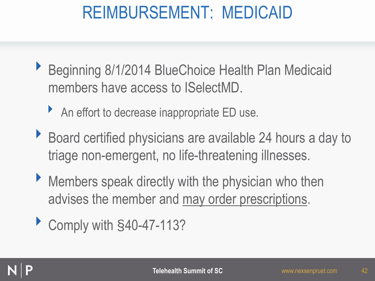- ▶ Beginning 8/1/2014 BlueChoice Health Plan Medicaid members have access to ISelectMD.
	- ▶ An effort to decrease inappropriate ED use.
- ▶ Board certified physicians are available 24 hours a day to triage non-emergent, no life-threatening illnesses.
- ‣ Members speak directly with the physician who then advises the member and may order prescriptions.
- ▶ Comply with §40-47-113?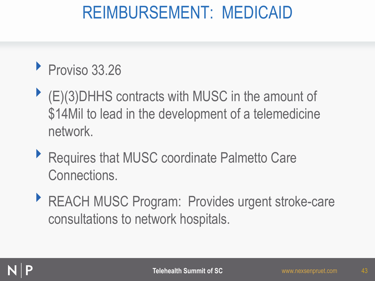#### Proviso 33.26

- $\blacktriangleright$  (E)(3)DHHS contracts with MUSC in the amount of \$14Mil to lead in the development of a telemedicine network.
- ▶ Requires that MUSC coordinate Palmetto Care Connections.
- ‣ REACH MUSC Program: Provides urgent stroke-care consultations to network hospitals.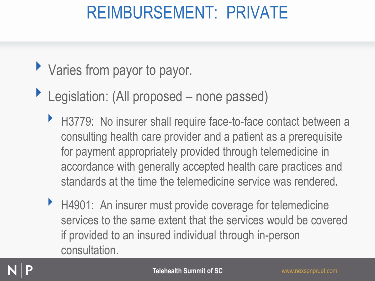#### REIMBURSEMENT: PRIVATE

#### • Varies from payor to payor.

- ▶ Legislation: (All proposed none passed)
	- ▶ H3779: No insurer shall require face-to-face contact between a consulting health care provider and a patient as a prerequisite for payment appropriately provided through telemedicine in accordance with generally accepted health care practices and standards at the time the telemedicine service was rendered.
	- ▶ H4901: An insurer must provide coverage for telemedicine services to the same extent that the services would be covered if provided to an insured individual through in-person consultation.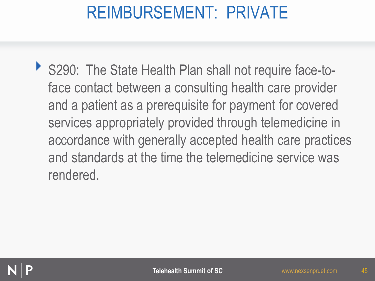#### REIMBURSEMENT: PRIVATE

‣ S290: The State Health Plan shall not require face-toface contact between a consulting health care provider and a patient as a prerequisite for payment for covered services appropriately provided through telemedicine in accordance with generally accepted health care practices and standards at the time the telemedicine service was rendered.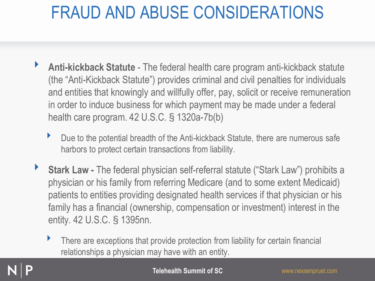- ‣ **Anti-kickback Statute** The federal health care program anti-kickback statute (the "Anti-Kickback Statute") provides criminal and civil penalties for individuals and entities that knowingly and willfully offer, pay, solicit or receive remuneration in order to induce business for which payment may be made under a federal health care program. 42 U.S.C. § 1320a-7b(b)
	- Due to the potential breadth of the Anti-kickback Statute, there are numerous safe harbors to protect certain transactions from liability.
- **Stark Law -** The federal physician self-referral statute ("Stark Law") prohibits a physician or his family from referring Medicare (and to some extent Medicaid) patients to entities providing designated health services if that physician or his family has a financial (ownership, compensation or investment) interest in the entity. 42 U.S.C. § 1395nn.
	- There are exceptions that provide protection from liability for certain financial relationships a physician may have with an entity.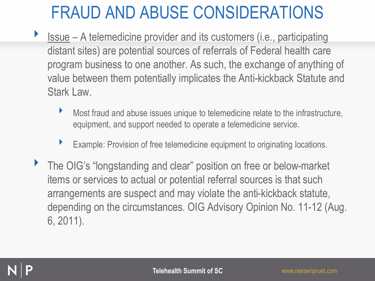- ‣ Issue A telemedicine provider and its customers (i.e., participating distant sites) are potential sources of referrals of Federal health care program business to one another. As such, the exchange of anything of value between them potentially implicates the Anti-kickback Statute and Stark Law.
	- Most fraud and abuse issues unique to telemedicine relate to the infrastructure, equipment, and support needed to operate a telemedicine service.
	- ‣ Example: Provision of free telemedicine equipment to originating locations.
- ‣ The OIG's "longstanding and clear" position on free or below-market items or services to actual or potential referral sources is that such arrangements are suspect and may violate the anti-kickback statute, depending on the circumstances. OIG Advisory Opinion No. 11-12 (Aug. 6, 2011).

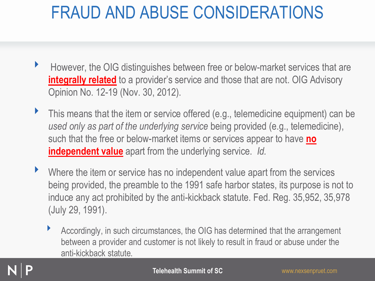- ‣ However, the OIG distinguishes between free or below-market services that are **integrally related** to a provider's service and those that are not. OIG Advisory Opinion No. 12-19 (Nov. 30, 2012).
- This means that the item or service offered (e.g., telemedicine equipment) can be *used only as part of the underlying service* being provided (e.g., telemedicine), such that the free or below-market items or services appear to have **no independent value** apart from the underlying service. *Id.*
- Where the item or service has no independent value apart from the services being provided, the preamble to the 1991 safe harbor states, its purpose is not to induce any act prohibited by the anti-kickback statute. Fed. Reg. 35,952, 35,978 (July 29, 1991).
	- ‣ Accordingly, in such circumstances, the OIG has determined that the arrangement between a provider and customer is not likely to result in fraud or abuse under the anti-kickback statute.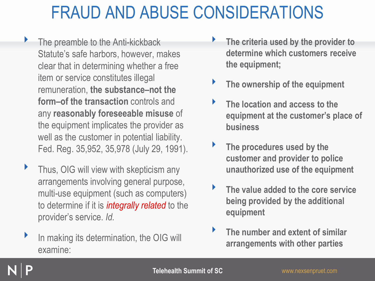- ‣ The preamble to the Anti-kickback Statute's safe harbors, however, makes clear that in determining whether a free item or service constitutes illegal remuneration, **the substance–not the form–of the transaction** controls and any **reasonably foreseeable misuse** of the equipment implicates the provider as well as the customer in potential liability. Fed. Reg. 35,952, 35,978 (July 29, 1991).
- ‣ Thus, OIG will view with skepticism any arrangements involving general purpose, multi-use equipment (such as computers) to determine if it is *integrally related* to the provider's service. *Id.*
- In making its determination, the OIG will examine:
- ‣ **The criteria used by the provider to determine which customers receive the equipment;**
- ‣ **The ownership of the equipment**
- ‣ **The location and access to the equipment at the customer's place of business**
- ‣ **The procedures used by the customer and provider to police unauthorized use of the equipment**
- ‣ **The value added to the core service being provided by the additional equipment**
- ‣ **The number and extent of similar arrangements with other parties**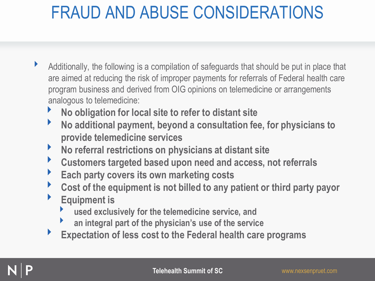- ‣ Additionally, the following is a compilation of safeguards that should be put in place that are aimed at reducing the risk of improper payments for referrals of Federal health care program business and derived from OIG opinions on telemedicine or arrangements analogous to telemedicine:
	- ‣ **No obligation for local site to refer to distant site**
	- ‣ **No additional payment, beyond a consultation fee, for physicians to provide telemedicine services**
	- ‣ **No referral restrictions on physicians at distant site**
	- ‣ **Customers targeted based upon need and access, not referrals**
	- ‣ **Each party covers its own marketing costs**
	- ‣ **Cost of the equipment is not billed to any patient or third party payor**
	- ‣ **Equipment is** 
		- ‣ **used exclusively for the telemedicine service, and**
		- ‣ **an integral part of the physician's use of the service**
	- ‣ **Expectation of less cost to the Federal health care programs**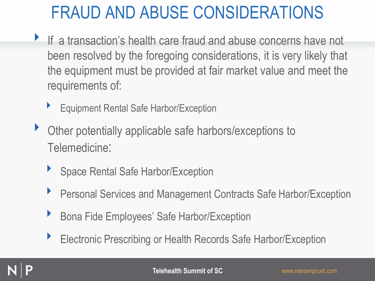- If a transaction's health care fraud and abuse concerns have not been resolved by the foregoing considerations, it is very likely that the equipment must be provided at fair market value and meet the requirements of:
	- ‣ Equipment Rental Safe Harbor/Exception
- ‣ Other potentially applicable safe harbors/exceptions to Telemedicine:
	- ‣ Space Rental Safe Harbor/Exception
	- ▶ Personal Services and Management Contracts Safe Harbor/Exception
	- ‣ Bona Fide Employees' Safe Harbor/Exception
	- ▶ Electronic Prescribing or Health Records Safe Harbor/Exception